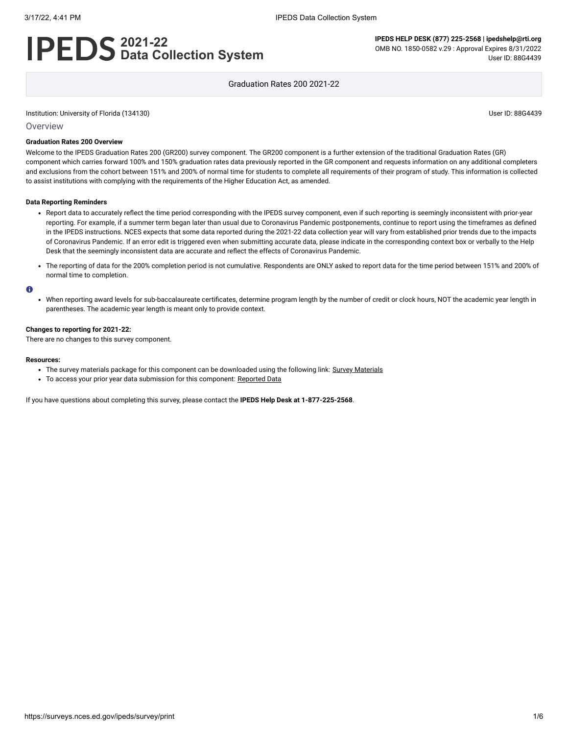# **2021-22 Data Collection System**

**IPEDS HELP DESK (877) 225-2568 | ipedshelp@rti.org** OMB NO. 1850-0582 v.29 : Approval Expires 8/31/2022 User ID: 88G4439

Graduation Rates 200 2021-22

Institution: University of Florida (134130) User ID: 88G4439

#### **Overview**

#### **Graduation Rates 200 Overview**

Welcome to the IPEDS Graduation Rates 200 (GR200) survey component. The GR200 component is a further extension of the traditional Graduation Rates (GR) component which carries forward 100% and 150% graduation rates data previously reported in the GR component and requests information on any additional completers and exclusions from the cohort between 151% and 200% of normal time for students to complete all requirements of their program of study. This information is collected to assist institutions with complying with the requirements of the Higher Education Act, as amended.

#### **Data Reporting Reminders**

- Report data to accurately reflect the time period corresponding with the IPEDS survey component, even if such reporting is seemingly inconsistent with prior-year reporting. For example, if a summer term began later than usual due to Coronavirus Pandemic postponements, continue to report using the timeframes as defined in the IPEDS instructions. NCES expects that some data reported during the 2021-22 data collection year will vary from established prior trends due to the impacts of Coronavirus Pandemic. If an error edit is triggered even when submitting accurate data, please indicate in the corresponding context box or verbally to the Help Desk that the seemingly inconsistent data are accurate and reflect the effects of Coronavirus Pandemic.
- The reporting of data for the 200% completion period is not cumulative. Respondents are ONLY asked to report data for the time period between 151% and 200% of normal time to completion.

#### $\bullet$

When reporting award levels for sub-baccalaureate certificates, determine program length by the number of credit or clock hours, NOT the academic year length in parentheses. The academic year length is meant only to provide context.

#### **Changes to reporting for 2021-22:**

There are no changes to this survey component.

#### **Resources:**

- The survey materials package for this component can be downloaded using the following link: Survey [Materials](https://surveys.nces.ed.gov/ipeds/public/survey-materials/index)
- To access your prior year data submission for this component: [Reported Data](javascript:openReportedData(134130, 2))

If you have questions about completing this survey, please contact the **IPEDS Help Desk at 1-877-225-2568**.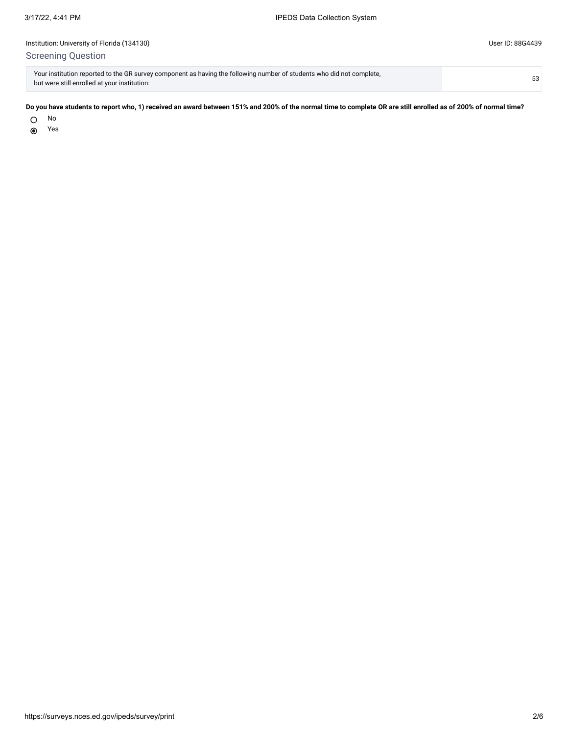# Institution: University of Florida (134130) User ID: 88G4439 Screening Question

| Your institution reported to the GR survey component as having the following number of students who did not complete, | 53 |
|-----------------------------------------------------------------------------------------------------------------------|----|
| but were still enrolled at your institution:                                                                          |    |

## **Do you have students to report who, 1) received an award between 151% and 200% of the normal time to complete OR are still enrolled as of 200% of normal time?**

O No

Yes $\odot$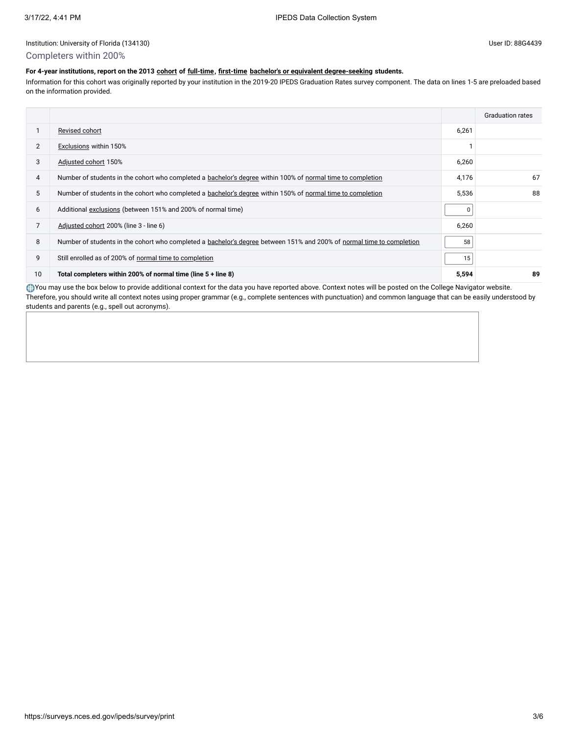#### Institution: University of Florida (134130) User ID: 88G4439

## Completers within 200%

# **For 4-year institutions, report on the 2013 [cohort](javascript:openglossary(119)) of [full-time,](javascript:openglossary(259)) [first-time](javascript:openglossary(241)) [bachelor's or equivalent degree-seeking](javascript:openglossary(79)) students.**

Information for this cohort was originally reported by your institution in the 2019-20 IPEDS Graduation Rates survey component. The data on lines 1-5 are preloaded based on the information provided.

|                |                                                                                                                       |       | <b>Graduation rates</b> |
|----------------|-----------------------------------------------------------------------------------------------------------------------|-------|-------------------------|
|                | Revised cohort                                                                                                        | 6,261 |                         |
| $\overline{2}$ | Exclusions within 150%                                                                                                |       |                         |
| 3              | Adjusted cohort 150%                                                                                                  | 6,260 |                         |
| 4              | Number of students in the cohort who completed a bachelor's degree within 100% of normal time to completion           | 4,176 | 67                      |
| 5              | Number of students in the cohort who completed a bachelor's degree within 150% of normal time to completion           | 5,536 | 88                      |
| 6              | Additional exclusions (between 151% and 200% of normal time)                                                          | 0     |                         |
| $\overline{7}$ | Adjusted cohort 200% (line 3 - line 6)                                                                                | 6,260 |                         |
| 8              | Number of students in the cohort who completed a bachelor's degree between 151% and 200% of normal time to completion | 58    |                         |
| 9              | Still enrolled as of 200% of normal time to completion                                                                | 15    |                         |
| 10             | Total completers within 200% of normal time (line 5 + line 8)                                                         | 5,594 | 89                      |

You may use the box below to provide additional context for the data you have reported above. Context notes will be posted on the College Navigator website. Therefore, you should write all context notes using proper grammar (e.g., complete sentences with punctuation) and common language that can be easily understood by students and parents (e.g., spell out acronyms).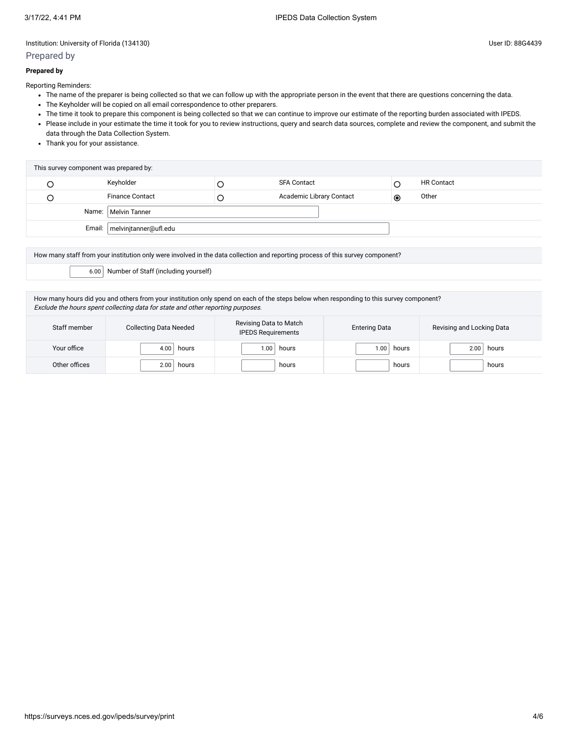# Institution: University of Florida (134130) User ID: 88G4439

# Prepared by

## **Prepared by**

Reporting Reminders:

- The name of the preparer is being collected so that we can follow up with the appropriate person in the event that there are questions concerning the data.
- The Keyholder will be copied on all email correspondence to other preparers.
- The time it took to prepare this component is being collected so that we can continue to improve our estimate of the reporting burden associated with IPEDS.
- Please include in your estimate the time it took for you to review instructions, query and search data sources, complete and review the component, and submit the data through the Data Collection System.
- Thank you for your assistance.

| This survey component was prepared by: |                                |  |                          |           |                   |
|----------------------------------------|--------------------------------|--|--------------------------|-----------|-------------------|
|                                        | Keyholder                      |  | <b>SFA Contact</b>       |           | <b>HR Contact</b> |
|                                        | <b>Finance Contact</b>         |  | Academic Library Contact | $\bullet$ | Other             |
| Name:   Melvin Tanner                  |                                |  |                          |           |                   |
|                                        | Email:   melvinjtanner@ufl.edu |  |                          |           |                   |

How many staff from your institution only were involved in the data collection and reporting process of this survey component?

6.00 Number of Staff (including yourself)

How many hours did you and others from your institution only spend on each of the steps below when responding to this survey component? Exclude the hours spent collecting data for state and other reporting purposes.

| Staff member  | <b>Collecting Data Needed</b> | Revising Data to Match<br><b>IPEDS Requirements</b> | <b>Entering Data</b> | Revising and Locking Data |  |
|---------------|-------------------------------|-----------------------------------------------------|----------------------|---------------------------|--|
| Your office   | 4.00<br>hours                 | .00<br>hours                                        | 00.1<br>hours        | 2.00<br>hours             |  |
| Other offices | 2.00<br>hours                 | hours                                               | hours                | hours                     |  |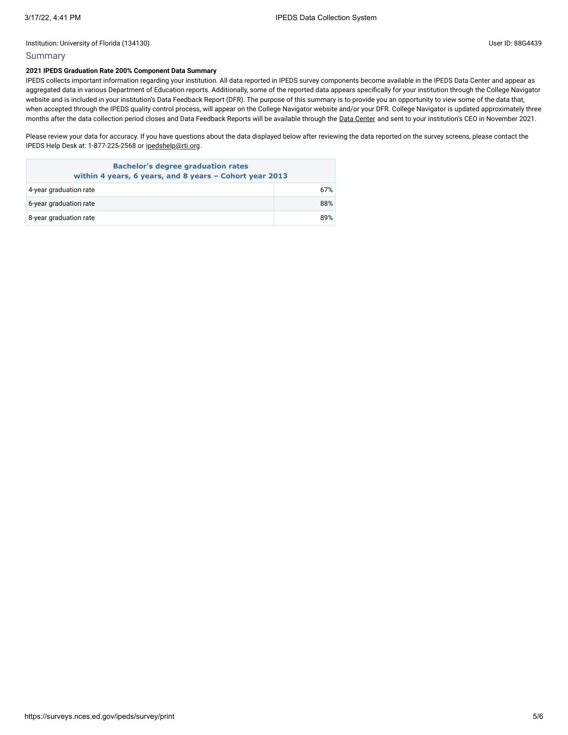# Summary

## **2021 IPEDS Graduation Rate 200% Component Data Summary**

IPEDS collects important information regarding your institution. All data reported in IPEDS survey components become available in the IPEDS Data Center and appear as aggregated data in various Department of Education reports. Additionally, some of the reported data appears specifically for your institution through the College Navigator website and is included in your institution's Data Feedback Report (DFR). The purpose of this summary is to provide you an opportunity to view some of the data that, when accepted through the IPEDS quality control process, will appear on the College Navigator website and/or your DFR. College Navigator is updated approximately three months after the data collection period closes and Data Feedback Reports will be available through the Data [Center](https://nces.ed.gov/ipeds/use-the-data) and sent to your institution's CEO in November 2021.

Please review your data for accuracy. If you have questions about the data displayed below after reviewing the data reported on the survey screens, please contact the IPEDS Help Desk at: 1-877-225-2568 or [ipedshelp@rti.org.](mailto:ipedshelp@rti.org)

| <b>Bachelor's degree graduation rates</b><br>within 4 years, 6 years, and 8 years - Cohort year 2013 |     |  |  |
|------------------------------------------------------------------------------------------------------|-----|--|--|
| 4-year graduation rate                                                                               | 67% |  |  |
| 6-year graduation rate                                                                               | 88% |  |  |
| 8-year graduation rate                                                                               | 89% |  |  |